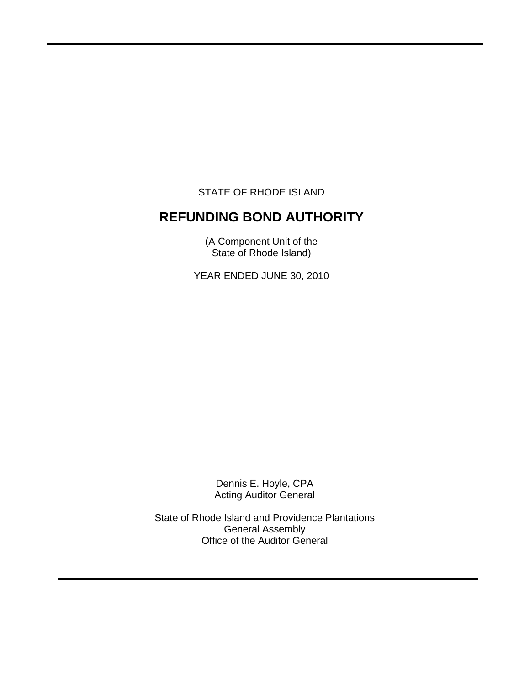STATE OF RHODE ISLAND

 $\overline{a}$ 

# **REFUNDING BOND AUTHORITY**

(A Component Unit of the State of Rhode Island)

YEAR ENDED JUNE 30, 2010

Dennis E. Hoyle, CPA Acting Auditor General

State of Rhode Island and Providence Plantations General Assembly Office of the Auditor General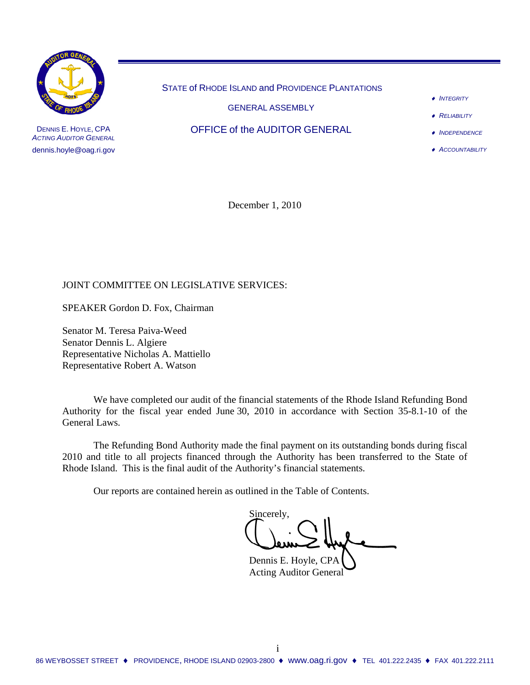

DENNIS E. HOYLE, CPA *ACTING AUDITOR GENERAL* dennis.hoyle@oag.ri.gov

STATE of RHODE ISLAND and PROVIDENCE PLANTATIONS

GENERAL ASSEMBLY

OFFICE of the AUDITOR GENERAL

- ♦ *INTEGRITY*
- ♦ *RELIABILITY*
- ♦ *INDEPENDENCE*
- ♦ *ACCOUNTABILITY*

December 1, 2010

## JOINT COMMITTEE ON LEGISLATIVE SERVICES:

SPEAKER Gordon D. Fox, Chairman

Senator M. Teresa Paiva-Weed Senator Dennis L. Algiere Representative Nicholas A. Mattiello Representative Robert A. Watson

 We have completed our audit of the financial statements of the Rhode Island Refunding Bond Authority for the fiscal year ended June 30, 2010 in accordance with Section 35-8.1-10 of the General Laws.

 The Refunding Bond Authority made the final payment on its outstanding bonds during fiscal 2010 and title to all projects financed through the Authority has been transferred to the State of Rhode Island. This is the final audit of the Authority's financial statements.

Our reports are contained herein as outlined in the Table of Contents.

Sincerely,

 Dennis E. Hoyle, CPA Acting Auditor General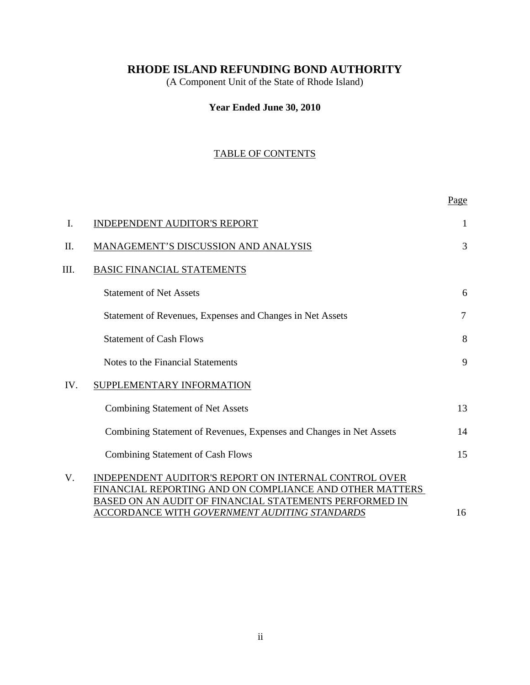(A Component Unit of the State of Rhode Island)

## **Year Ended June 30, 2010**

## TABLE OF CONTENTS

|     |                                                                                                                                                                                   | Page           |
|-----|-----------------------------------------------------------------------------------------------------------------------------------------------------------------------------------|----------------|
| I.  | <b>INDEPENDENT AUDITOR'S REPORT</b>                                                                                                                                               | 1              |
| Π.  | MANAGEMENT'S DISCUSSION AND ANALYSIS                                                                                                                                              | 3              |
| Ш.  | <b>BASIC FINANCIAL STATEMENTS</b>                                                                                                                                                 |                |
|     | <b>Statement of Net Assets</b>                                                                                                                                                    | 6              |
|     | Statement of Revenues, Expenses and Changes in Net Assets                                                                                                                         | $\overline{7}$ |
|     | <b>Statement of Cash Flows</b>                                                                                                                                                    | 8              |
|     | Notes to the Financial Statements                                                                                                                                                 | 9              |
| IV. | SUPPLEMENTARY INFORMATION                                                                                                                                                         |                |
|     | <b>Combining Statement of Net Assets</b>                                                                                                                                          | 13             |
|     | Combining Statement of Revenues, Expenses and Changes in Net Assets                                                                                                               | 14             |
|     | <b>Combining Statement of Cash Flows</b>                                                                                                                                          | 15             |
| V.  | <b>INDEPENDENT AUDITOR'S REPORT ON INTERNAL CONTROL OVER</b><br>FINANCIAL REPORTING AND ON COMPLIANCE AND OTHER MATTERS<br>BASED ON AN AUDIT OF FINANCIAL STATEMENTS PERFORMED IN |                |
|     | <u>ACCORDANCE WITH GOVERNMENT AUDITING STANDARDS</u>                                                                                                                              | 16             |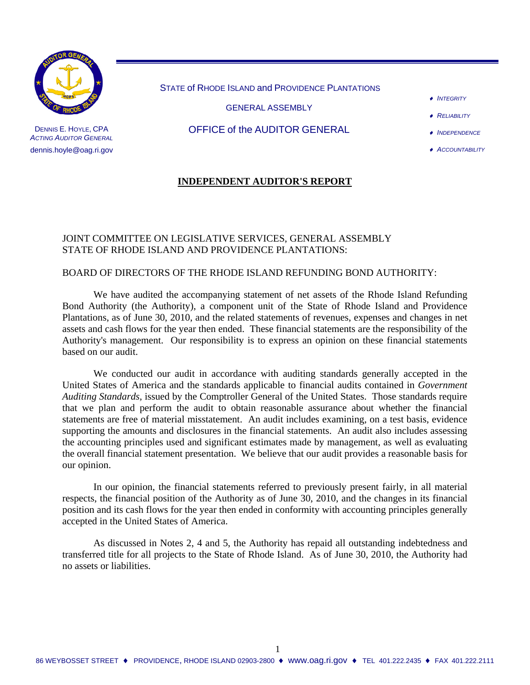

DENNIS E. HOYLE, CPA *ACTING AUDITOR GENERAL* dennis.hoyle@oag.ri.gov

STATE of RHODE ISLAND and PROVIDENCE PLANTATIONS

GENERAL ASSEMBLY

## OFFICE of the AUDITOR GENERAL

- ♦ *INTEGRITY*
- ♦ *RELIABILITY*
- ♦ *INDEPENDENCE*
- ♦ *ACCOUNTABILITY*

## **INDEPENDENT AUDITOR'S REPORT**

### JOINT COMMITTEE ON LEGISLATIVE SERVICES, GENERAL ASSEMBLY STATE OF RHODE ISLAND AND PROVIDENCE PLANTATIONS:

#### BOARD OF DIRECTORS OF THE RHODE ISLAND REFUNDING BOND AUTHORITY:

We have audited the accompanying statement of net assets of the Rhode Island Refunding Bond Authority (the Authority), a component unit of the State of Rhode Island and Providence Plantations, as of June 30, 2010, and the related statements of revenues, expenses and changes in net assets and cash flows for the year then ended. These financial statements are the responsibility of the Authority's management. Our responsibility is to express an opinion on these financial statements based on our audit.

We conducted our audit in accordance with auditing standards generally accepted in the United States of America and the standards applicable to financial audits contained in *Government Auditing Standards,* issued by the Comptroller General of the United States. Those standards require that we plan and perform the audit to obtain reasonable assurance about whether the financial statements are free of material misstatement. An audit includes examining, on a test basis, evidence supporting the amounts and disclosures in the financial statements. An audit also includes assessing the accounting principles used and significant estimates made by management, as well as evaluating the overall financial statement presentation. We believe that our audit provides a reasonable basis for our opinion.

In our opinion, the financial statements referred to previously present fairly, in all material respects, the financial position of the Authority as of June 30, 2010, and the changes in its financial position and its cash flows for the year then ended in conformity with accounting principles generally accepted in the United States of America.

As discussed in Notes 2, 4 and 5, the Authority has repaid all outstanding indebtedness and transferred title for all projects to the State of Rhode Island. As of June 30, 2010, the Authority had no assets or liabilities.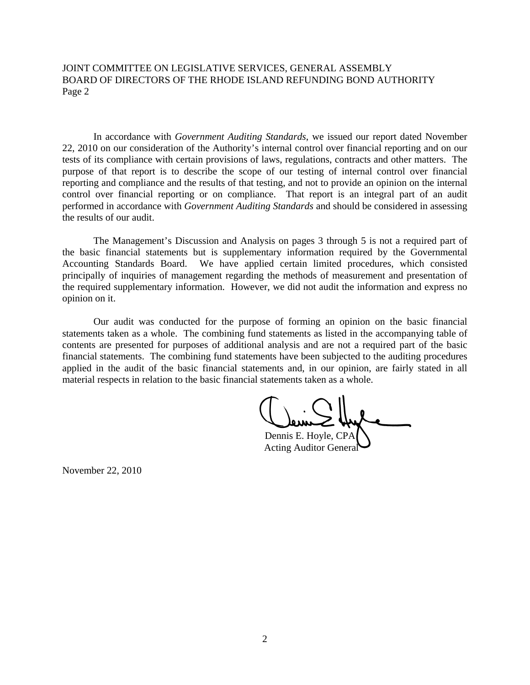JOINT COMMITTEE ON LEGISLATIVE SERVICES, GENERAL ASSEMBLY BOARD OF DIRECTORS OF THE RHODE ISLAND REFUNDING BOND AUTHORITY Page 2

In accordance with *Government Auditing Standards*, we issued our report dated November 22, 2010 on our consideration of the Authority's internal control over financial reporting and on our tests of its compliance with certain provisions of laws, regulations, contracts and other matters. The purpose of that report is to describe the scope of our testing of internal control over financial reporting and compliance and the results of that testing, and not to provide an opinion on the internal control over financial reporting or on compliance. That report is an integral part of an audit performed in accordance with *Government Auditing Standards* and should be considered in assessing the results of our audit.

The Management's Discussion and Analysis on pages 3 through 5 is not a required part of the basic financial statements but is supplementary information required by the Governmental Accounting Standards Board. We have applied certain limited procedures, which consisted principally of inquiries of management regarding the methods of measurement and presentation of the required supplementary information. However, we did not audit the information and express no opinion on it.

Our audit was conducted for the purpose of forming an opinion on the basic financial statements taken as a whole. The combining fund statements as listed in the accompanying table of contents are presented for purposes of additional analysis and are not a required part of the basic financial statements. The combining fund statements have been subjected to the auditing procedures applied in the audit of the basic financial statements and, in our opinion, are fairly stated in all material respects in relation to the basic financial statements taken as a whole.

Dennis E. Hoyle, CPA Acting Auditor General

November 22, 2010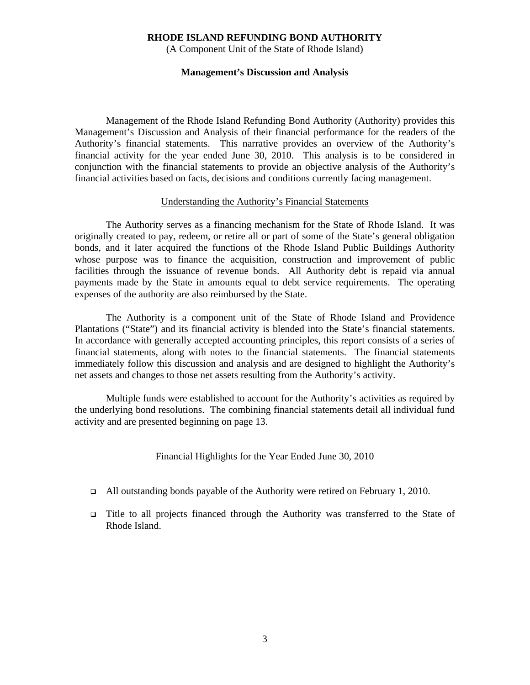(A Component Unit of the State of Rhode Island)

#### **Management's Discussion and Analysis**

Management of the Rhode Island Refunding Bond Authority (Authority) provides this Management's Discussion and Analysis of their financial performance for the readers of the Authority's financial statements. This narrative provides an overview of the Authority's financial activity for the year ended June 30, 2010. This analysis is to be considered in conjunction with the financial statements to provide an objective analysis of the Authority's financial activities based on facts, decisions and conditions currently facing management.

#### Understanding the Authority's Financial Statements

The Authority serves as a financing mechanism for the State of Rhode Island. It was originally created to pay, redeem, or retire all or part of some of the State's general obligation bonds, and it later acquired the functions of the Rhode Island Public Buildings Authority whose purpose was to finance the acquisition, construction and improvement of public facilities through the issuance of revenue bonds. All Authority debt is repaid via annual payments made by the State in amounts equal to debt service requirements. The operating expenses of the authority are also reimbursed by the State.

 The Authority is a component unit of the State of Rhode Island and Providence Plantations ("State") and its financial activity is blended into the State's financial statements. In accordance with generally accepted accounting principles, this report consists of a series of financial statements, along with notes to the financial statements. The financial statements immediately follow this discussion and analysis and are designed to highlight the Authority's net assets and changes to those net assets resulting from the Authority's activity.

 Multiple funds were established to account for the Authority's activities as required by the underlying bond resolutions. The combining financial statements detail all individual fund activity and are presented beginning on page 13.

#### Financial Highlights for the Year Ended June 30, 2010

- $\Box$  All outstanding bonds payable of the Authority were retired on February 1, 2010.
- Title to all projects financed through the Authority was transferred to the State of Rhode Island.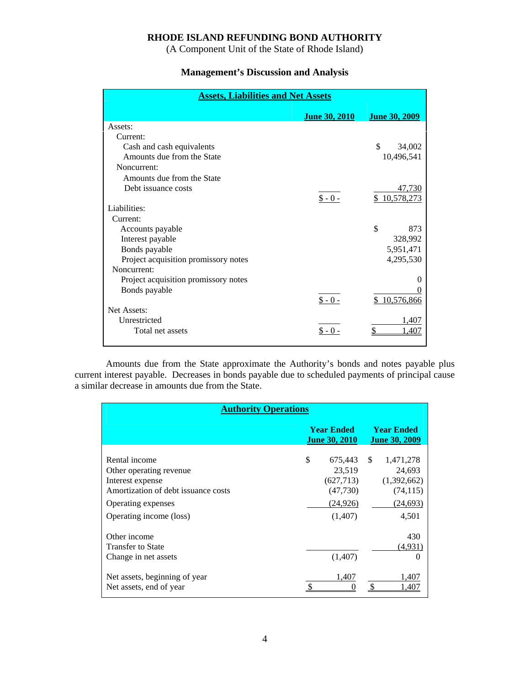(A Component Unit of the State of Rhode Island)

## **Management's Discussion and Analysis**

| <b>Assets, Liabilities and Net Assets</b> |                      |                      |  |  |  |  |
|-------------------------------------------|----------------------|----------------------|--|--|--|--|
|                                           | <b>June 30, 2010</b> | <b>June 30, 2009</b> |  |  |  |  |
| Assets:                                   |                      |                      |  |  |  |  |
| Current:                                  |                      |                      |  |  |  |  |
| Cash and cash equivalents                 |                      | \$<br>34,002         |  |  |  |  |
| Amounts due from the State                |                      | 10,496,541           |  |  |  |  |
| Noncurrent:                               |                      |                      |  |  |  |  |
| Amounts due from the State                |                      |                      |  |  |  |  |
| Debt issuance costs                       |                      | 47,730               |  |  |  |  |
|                                           | $$ -0 -$             | \$10,578,273         |  |  |  |  |
| Liabilities:                              |                      |                      |  |  |  |  |
| Current:                                  |                      |                      |  |  |  |  |
| Accounts payable                          |                      | \$<br>873            |  |  |  |  |
| Interest payable                          |                      | 328,992              |  |  |  |  |
| Bonds payable                             |                      | 5,951,471            |  |  |  |  |
| Project acquisition promissory notes      |                      | 4,295,530            |  |  |  |  |
| Noncurrent:                               |                      |                      |  |  |  |  |
| Project acquisition promissory notes      |                      |                      |  |  |  |  |
| Bonds payable                             |                      |                      |  |  |  |  |
|                                           | $$ -0 -$             | \$10,576,866         |  |  |  |  |
| Net Assets:                               |                      |                      |  |  |  |  |
| Unrestricted                              |                      | 1,407                |  |  |  |  |
| Total net assets                          | $$ -0 -$             | .407                 |  |  |  |  |
|                                           |                      |                      |  |  |  |  |

 Amounts due from the State approximate the Authority's bonds and notes payable plus current interest payable. Decreases in bonds payable due to scheduled payments of principal cause a similar decrease in amounts due from the State.

| <b>Authority Operations</b>                                                                                                                          |                                                                              |                                                                       |  |  |  |  |
|------------------------------------------------------------------------------------------------------------------------------------------------------|------------------------------------------------------------------------------|-----------------------------------------------------------------------|--|--|--|--|
|                                                                                                                                                      | <b>Year Ended</b><br><b>June 30, 2010</b>                                    | <b>Year Ended</b><br><b>June 30, 2009</b>                             |  |  |  |  |
| Rental income<br>Other operating revenue<br>Interest expense<br>Amortization of debt issuance costs<br>Operating expenses<br>Operating income (loss) | \$<br>675,443 \$<br>23,519<br>(627, 713)<br>(47,730)<br>(24, 926)<br>(1,407) | 1,471,278<br>24,693<br>(1,392,662)<br>(74, 115)<br>(24, 693)<br>4,501 |  |  |  |  |
| Other income<br><b>Transfer to State</b><br>Change in net assets<br>Net assets, beginning of year<br>Net assets, end of year                         | (1,407)<br>1,407                                                             | 430<br>(4,931)<br>$\theta$<br>1,407<br>1.407                          |  |  |  |  |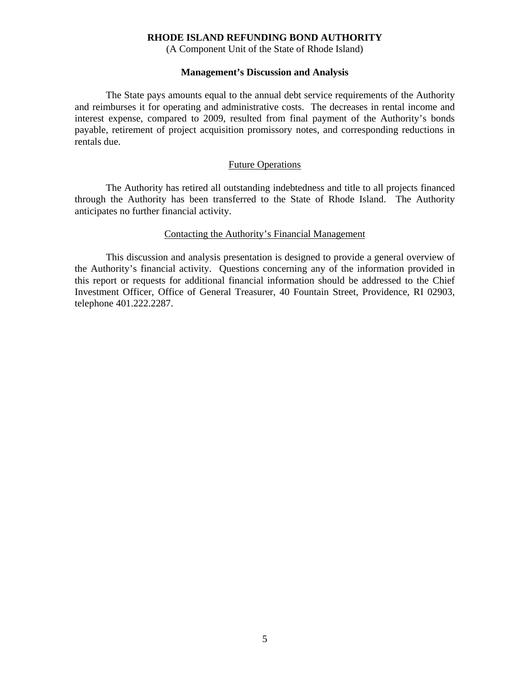(A Component Unit of the State of Rhode Island)

#### **Management's Discussion and Analysis**

 The State pays amounts equal to the annual debt service requirements of the Authority and reimburses it for operating and administrative costs. The decreases in rental income and interest expense, compared to 2009, resulted from final payment of the Authority's bonds payable, retirement of project acquisition promissory notes, and corresponding reductions in rentals due.

#### Future Operations

 The Authority has retired all outstanding indebtedness and title to all projects financed through the Authority has been transferred to the State of Rhode Island. The Authority anticipates no further financial activity.

### Contacting the Authority's Financial Management

 This discussion and analysis presentation is designed to provide a general overview of the Authority's financial activity. Questions concerning any of the information provided in this report or requests for additional financial information should be addressed to the Chief Investment Officer, Office of General Treasurer, 40 Fountain Street, Providence, RI 02903, telephone 401.222.2287.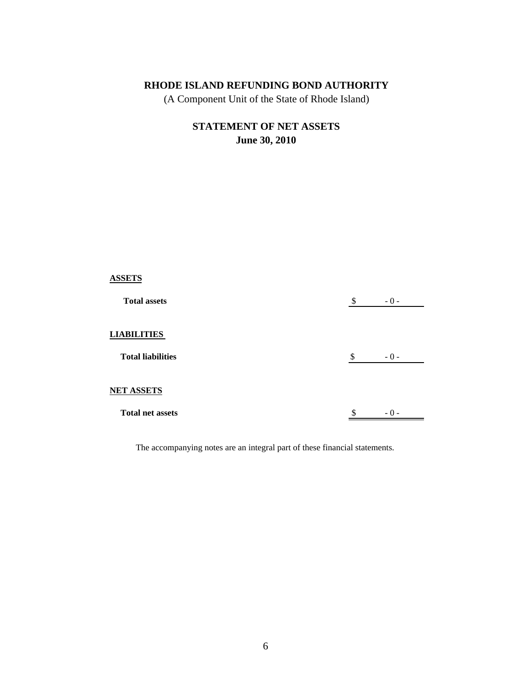(A Component Unit of the State of Rhode Island)

# **STATEMENT OF NET ASSETS June 30, 2010**

| <b>ASSETS</b>            |    |       |
|--------------------------|----|-------|
| <b>Total assets</b>      | \$ | $-0-$ |
| <b>LIABILITIES</b>       |    |       |
| <b>Total liabilities</b> | \$ | $-0-$ |
| <b>NET ASSETS</b>        |    |       |
| <b>Total net assets</b>  | Φ  | $-0-$ |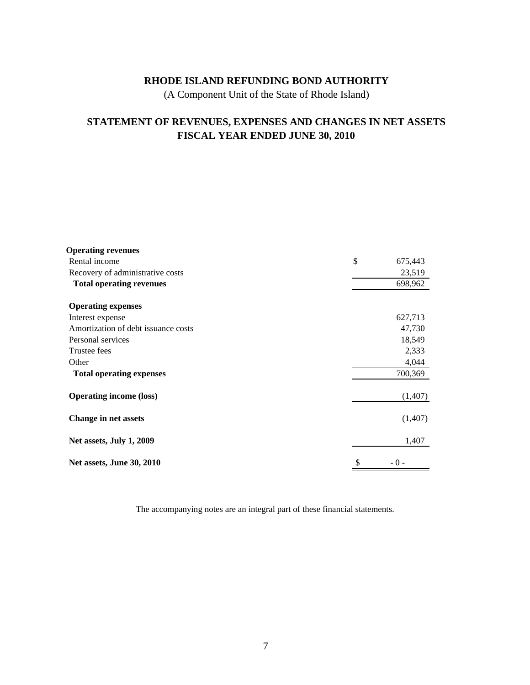(A Component Unit of the State of Rhode Island)

## **STATEMENT OF REVENUES, EXPENSES AND CHANGES IN NET ASSETS FISCAL YEAR ENDED JUNE 30, 2010**

| <b>Operating revenues</b>           |               |
|-------------------------------------|---------------|
| Rental income                       | \$<br>675,443 |
| Recovery of administrative costs    | 23,519        |
| <b>Total operating revenues</b>     | 698,962       |
| <b>Operating expenses</b>           |               |
| Interest expense                    | 627,713       |
| Amortization of debt issuance costs | 47,730        |
| Personal services                   | 18,549        |
| Trustee fees                        | 2,333         |
| Other                               | 4,044         |
| <b>Total operating expenses</b>     | 700,369       |
| <b>Operating income (loss)</b>      | (1,407)       |
| <b>Change in net assets</b>         | (1,407)       |
| Net assets, July 1, 2009            | 1,407         |
| Net assets, June 30, 2010           | \$<br>$-0-$   |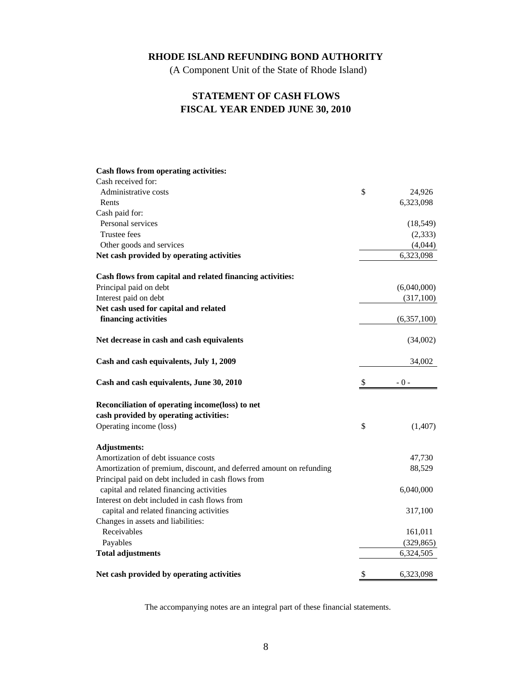(A Component Unit of the State of Rhode Island)

## **STATEMENT OF CASH FLOWS FISCAL YEAR ENDED JUNE 30, 2010**

| Cash flows from operating activities:                               |               |
|---------------------------------------------------------------------|---------------|
| Cash received for:                                                  |               |
| Administrative costs                                                | \$<br>24,926  |
| Rents                                                               | 6,323,098     |
| Cash paid for:                                                      |               |
| Personal services                                                   | (18, 549)     |
| Trustee fees                                                        | (2, 333)      |
| Other goods and services                                            | (4,044)       |
| Net cash provided by operating activities                           | 6,323,098     |
| Cash flows from capital and related financing activities:           |               |
| Principal paid on debt                                              | (6,040,000)   |
| Interest paid on debt                                               | (317,100)     |
| Net cash used for capital and related                               |               |
| financing activities                                                | (6,357,100)   |
| Net decrease in cash and cash equivalents                           | (34,002)      |
| Cash and cash equivalents, July 1, 2009                             | 34,002        |
| Cash and cash equivalents, June 30, 2010                            | \$<br>$-0-$   |
| Reconciliation of operating income(loss) to net                     |               |
| cash provided by operating activities:                              |               |
| Operating income (loss)                                             | \$<br>(1,407) |
| <b>Adjustments:</b>                                                 |               |
| Amortization of debt issuance costs                                 | 47,730        |
| Amortization of premium, discount, and deferred amount on refunding | 88,529        |
| Principal paid on debt included in cash flows from                  |               |
| capital and related financing activities                            | 6,040,000     |
| Interest on debt included in cash flows from                        |               |
| capital and related financing activities                            | 317,100       |
| Changes in assets and liabilities:                                  |               |
| Receivables                                                         | 161,011       |
| Payables                                                            | (329, 865)    |
| <b>Total adjustments</b>                                            | 6,324,505     |
|                                                                     |               |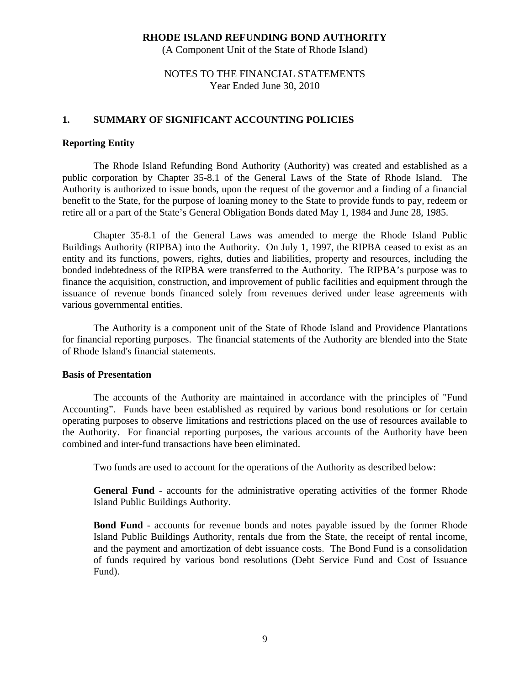(A Component Unit of the State of Rhode Island)

## NOTES TO THE FINANCIAL STATEMENTS Year Ended June 30, 2010

### **1. SUMMARY OF SIGNIFICANT ACCOUNTING POLICIES**

#### **Reporting Entity**

The Rhode Island Refunding Bond Authority (Authority) was created and established as a public corporation by Chapter 35-8.1 of the General Laws of the State of Rhode Island. The Authority is authorized to issue bonds, upon the request of the governor and a finding of a financial benefit to the State, for the purpose of loaning money to the State to provide funds to pay, redeem or retire all or a part of the State's General Obligation Bonds dated May 1, 1984 and June 28, 1985.

Chapter 35-8.1 of the General Laws was amended to merge the Rhode Island Public Buildings Authority (RIPBA) into the Authority. On July 1, 1997, the RIPBA ceased to exist as an entity and its functions, powers, rights, duties and liabilities, property and resources, including the bonded indebtedness of the RIPBA were transferred to the Authority. The RIPBA's purpose was to finance the acquisition, construction, and improvement of public facilities and equipment through the issuance of revenue bonds financed solely from revenues derived under lease agreements with various governmental entities.

 The Authority is a component unit of the State of Rhode Island and Providence Plantations for financial reporting purposes. The financial statements of the Authority are blended into the State of Rhode Island's financial statements.

#### **Basis of Presentation**

The accounts of the Authority are maintained in accordance with the principles of "Fund Accounting". Funds have been established as required by various bond resolutions or for certain operating purposes to observe limitations and restrictions placed on the use of resources available to the Authority. For financial reporting purposes, the various accounts of the Authority have been combined and inter-fund transactions have been eliminated.

Two funds are used to account for the operations of the Authority as described below:

 **General Fund** - accounts for the administrative operating activities of the former Rhode Island Public Buildings Authority.

 **Bond Fund** - accounts for revenue bonds and notes payable issued by the former Rhode Island Public Buildings Authority, rentals due from the State, the receipt of rental income, and the payment and amortization of debt issuance costs. The Bond Fund is a consolidation of funds required by various bond resolutions (Debt Service Fund and Cost of Issuance Fund).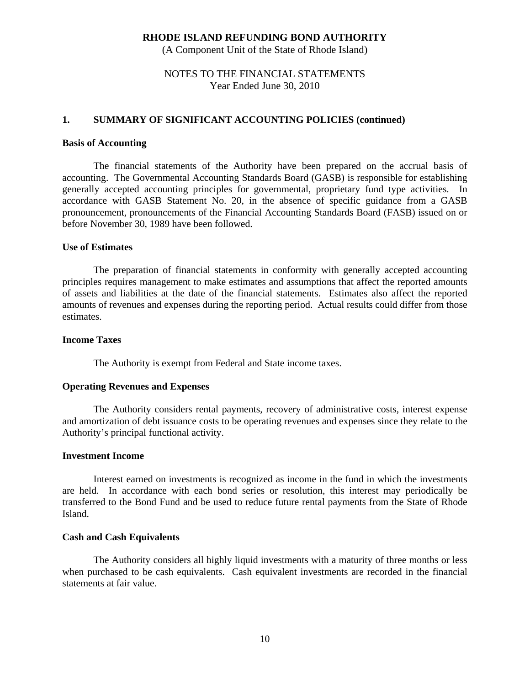(A Component Unit of the State of Rhode Island)

## NOTES TO THE FINANCIAL STATEMENTS Year Ended June 30, 2010

### **1. SUMMARY OF SIGNIFICANT ACCOUNTING POLICIES (continued)**

#### **Basis of Accounting**

The financial statements of the Authority have been prepared on the accrual basis of accounting. The Governmental Accounting Standards Board (GASB) is responsible for establishing generally accepted accounting principles for governmental, proprietary fund type activities. In accordance with GASB Statement No. 20, in the absence of specific guidance from a GASB pronouncement, pronouncements of the Financial Accounting Standards Board (FASB) issued on or before November 30, 1989 have been followed.

#### **Use of Estimates**

 The preparation of financial statements in conformity with generally accepted accounting principles requires management to make estimates and assumptions that affect the reported amounts of assets and liabilities at the date of the financial statements. Estimates also affect the reported amounts of revenues and expenses during the reporting period. Actual results could differ from those estimates.

## **Income Taxes**

The Authority is exempt from Federal and State income taxes.

#### **Operating Revenues and Expenses**

The Authority considers rental payments, recovery of administrative costs, interest expense and amortization of debt issuance costs to be operating revenues and expenses since they relate to the Authority's principal functional activity.

#### **Investment Income**

Interest earned on investments is recognized as income in the fund in which the investments are held. In accordance with each bond series or resolution, this interest may periodically be transferred to the Bond Fund and be used to reduce future rental payments from the State of Rhode Island.

#### **Cash and Cash Equivalents**

 The Authority considers all highly liquid investments with a maturity of three months or less when purchased to be cash equivalents. Cash equivalent investments are recorded in the financial statements at fair value.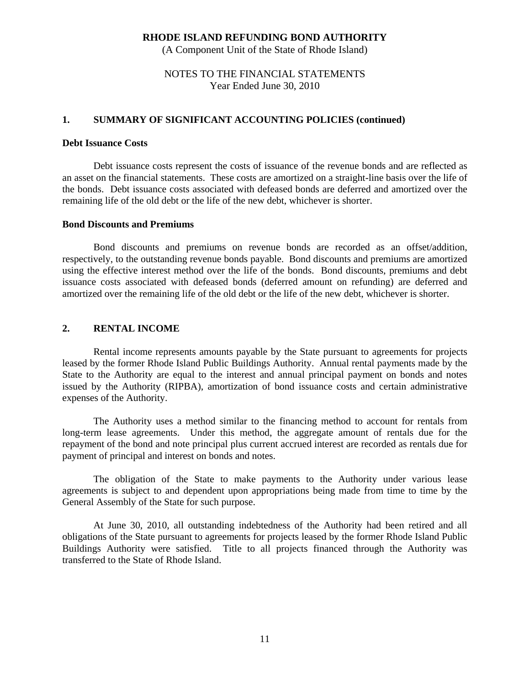(A Component Unit of the State of Rhode Island)

## NOTES TO THE FINANCIAL STATEMENTS Year Ended June 30, 2010

### **1. SUMMARY OF SIGNIFICANT ACCOUNTING POLICIES (continued)**

#### **Debt Issuance Costs**

 Debt issuance costs represent the costs of issuance of the revenue bonds and are reflected as an asset on the financial statements. These costs are amortized on a straight-line basis over the life of the bonds. Debt issuance costs associated with defeased bonds are deferred and amortized over the remaining life of the old debt or the life of the new debt, whichever is shorter.

#### **Bond Discounts and Premiums**

 Bond discounts and premiums on revenue bonds are recorded as an offset/addition, respectively, to the outstanding revenue bonds payable. Bond discounts and premiums are amortized using the effective interest method over the life of the bonds. Bond discounts, premiums and debt issuance costs associated with defeased bonds (deferred amount on refunding) are deferred and amortized over the remaining life of the old debt or the life of the new debt, whichever is shorter.

## **2. RENTAL INCOME**

Rental income represents amounts payable by the State pursuant to agreements for projects leased by the former Rhode Island Public Buildings Authority. Annual rental payments made by the State to the Authority are equal to the interest and annual principal payment on bonds and notes issued by the Authority (RIPBA), amortization of bond issuance costs and certain administrative expenses of the Authority.

The Authority uses a method similar to the financing method to account for rentals from long-term lease agreements. Under this method, the aggregate amount of rentals due for the repayment of the bond and note principal plus current accrued interest are recorded as rentals due for payment of principal and interest on bonds and notes.

The obligation of the State to make payments to the Authority under various lease agreements is subject to and dependent upon appropriations being made from time to time by the General Assembly of the State for such purpose.

At June 30, 2010, all outstanding indebtedness of the Authority had been retired and all obligations of the State pursuant to agreements for projects leased by the former Rhode Island Public Buildings Authority were satisfied. Title to all projects financed through the Authority was transferred to the State of Rhode Island.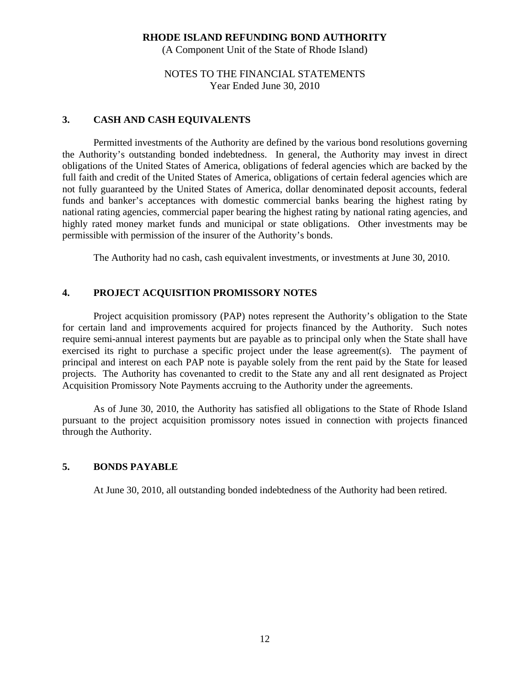(A Component Unit of the State of Rhode Island)

## NOTES TO THE FINANCIAL STATEMENTS Year Ended June 30, 2010

## **3. CASH AND CASH EQUIVALENTS**

Permitted investments of the Authority are defined by the various bond resolutions governing the Authority's outstanding bonded indebtedness. In general, the Authority may invest in direct obligations of the United States of America, obligations of federal agencies which are backed by the full faith and credit of the United States of America, obligations of certain federal agencies which are not fully guaranteed by the United States of America, dollar denominated deposit accounts, federal funds and banker's acceptances with domestic commercial banks bearing the highest rating by national rating agencies, commercial paper bearing the highest rating by national rating agencies, and highly rated money market funds and municipal or state obligations. Other investments may be permissible with permission of the insurer of the Authority's bonds.

The Authority had no cash, cash equivalent investments, or investments at June 30, 2010.

## **4. PROJECT ACQUISITION PROMISSORY NOTES**

 Project acquisition promissory (PAP) notes represent the Authority's obligation to the State for certain land and improvements acquired for projects financed by the Authority. Such notes require semi-annual interest payments but are payable as to principal only when the State shall have exercised its right to purchase a specific project under the lease agreement(s). The payment of principal and interest on each PAP note is payable solely from the rent paid by the State for leased projects. The Authority has covenanted to credit to the State any and all rent designated as Project Acquisition Promissory Note Payments accruing to the Authority under the agreements.

 As of June 30, 2010, the Authority has satisfied all obligations to the State of Rhode Island pursuant to the project acquisition promissory notes issued in connection with projects financed through the Authority.

## **5. BONDS PAYABLE**

At June 30, 2010, all outstanding bonded indebtedness of the Authority had been retired.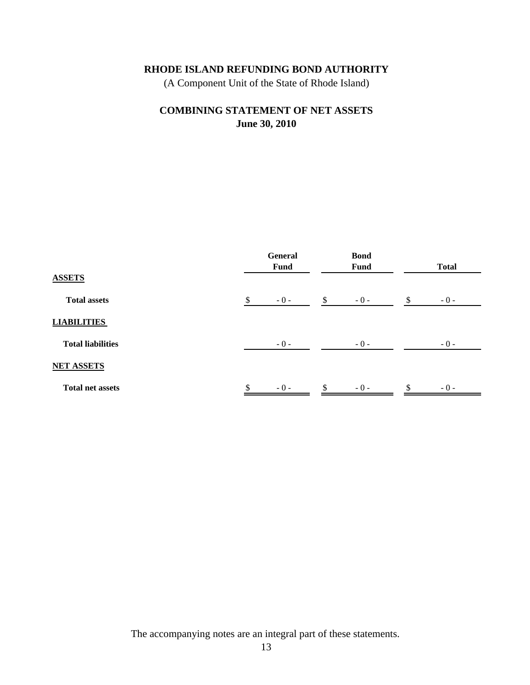(A Component Unit of the State of Rhode Island)

## **June 30, 2010 COMBINING STATEMENT OF NET ASSETS**

|                          | General<br><b>Fund</b> |              | <b>Bond</b><br><b>Fund</b> | <b>Total</b> |  |  |
|--------------------------|------------------------|--------------|----------------------------|--------------|--|--|
| <b>ASSETS</b>            |                        |              |                            |              |  |  |
| <b>Total assets</b>      | \$<br>$-0-$            | $\mathbb{S}$ | $-0-$                      | \$<br>$-0-$  |  |  |
| <b>LIABILITIES</b>       |                        |              |                            |              |  |  |
| <b>Total liabilities</b> | $-0-$                  |              | $-0-$                      | $-0-$        |  |  |
| <b>NET ASSETS</b>        |                        |              |                            |              |  |  |
| <b>Total net assets</b>  | \$<br>$-0-$            | \$           | $-0-$                      | \$<br>$-0-$  |  |  |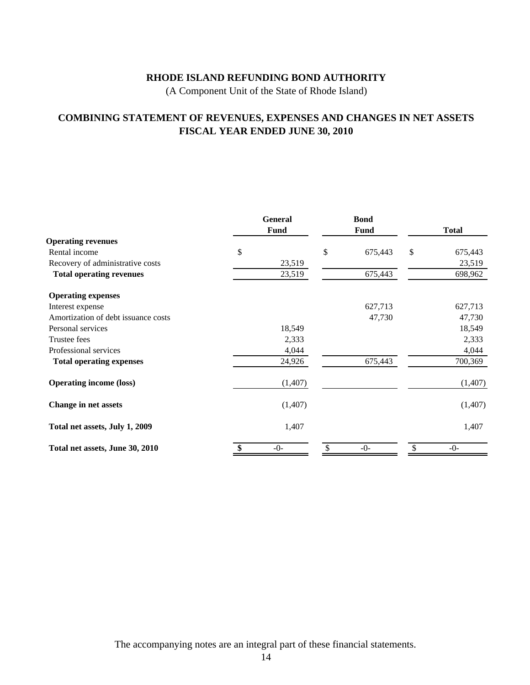(A Component Unit of the State of Rhode Island)

## **COMBINING STATEMENT OF REVENUES, EXPENSES AND CHANGES IN NET ASSETS FISCAL YEAR ENDED JUNE 30, 2010**

|                                     | <b>General</b><br>Fund | <b>Bond</b><br><b>Fund</b> | <b>Total</b> |         |  |
|-------------------------------------|------------------------|----------------------------|--------------|---------|--|
| <b>Operating revenues</b>           |                        |                            |              |         |  |
| Rental income                       | \$                     | \$<br>675,443              | \$           | 675,443 |  |
| Recovery of administrative costs    | 23,519                 |                            |              | 23,519  |  |
| <b>Total operating revenues</b>     | 23,519                 | 675,443                    |              | 698,962 |  |
| <b>Operating expenses</b>           |                        |                            |              |         |  |
| Interest expense                    |                        | 627,713                    |              | 627,713 |  |
| Amortization of debt issuance costs |                        | 47,730                     |              | 47,730  |  |
| Personal services                   | 18,549                 |                            |              | 18,549  |  |
| Trustee fees                        | 2,333                  |                            |              | 2,333   |  |
| Professional services               | 4,044                  |                            |              | 4,044   |  |
| <b>Total operating expenses</b>     | 24,926                 | 675,443                    |              | 700,369 |  |
| <b>Operating income (loss)</b>      | (1,407)                |                            |              | (1,407) |  |
| Change in net assets                | (1,407)                |                            |              | (1,407) |  |
| Total net assets, July 1, 2009      | 1,407                  |                            |              | 1,407   |  |
| Total net assets, June 30, 2010     | $-0-$                  | $-0-$                      |              | $-0-$   |  |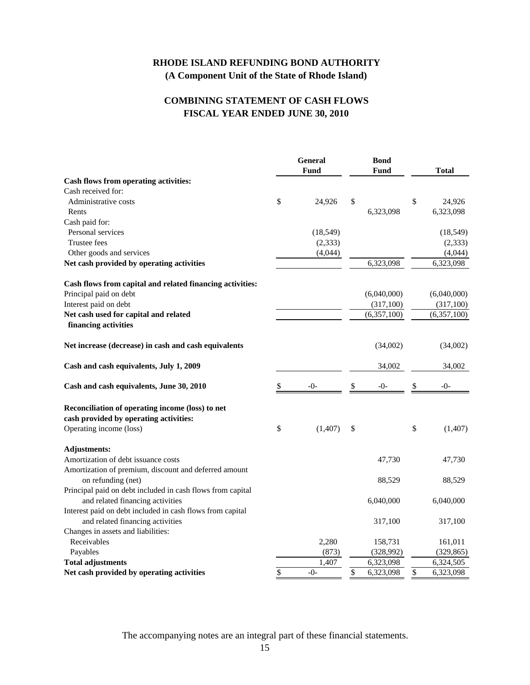## **RHODE ISLAND REFUNDING BOND AUTHORITY (A Component Unit of the State of Rhode Island)**

## **FISCAL YEAR ENDED JUNE 30, 2010 COMBINING STATEMENT OF CASH FLOWS**

|                                                            | <b>General</b> |           | <b>Bond</b> |             |                           |
|------------------------------------------------------------|----------------|-----------|-------------|-------------|---------------------------|
|                                                            |                | Fund      |             | Fund        | <b>Total</b>              |
| Cash flows from operating activities:                      |                |           |             |             |                           |
| Cash received for:                                         |                |           |             |             |                           |
| Administrative costs                                       | \$             | 24,926    | \$          |             | \$<br>24,926<br>6,323,098 |
| Rents                                                      |                |           |             | 6,323,098   |                           |
| Cash paid for:<br>Personal services                        |                |           |             |             |                           |
| <b>Trustee fees</b>                                        |                | (18, 549) |             |             | (18, 549)                 |
|                                                            |                | (2, 333)  |             |             | (2, 333)                  |
| Other goods and services                                   |                | (4,044)   |             |             | (4,044)                   |
| Net cash provided by operating activities                  |                |           |             | 6,323,098   | 6,323,098                 |
| Cash flows from capital and related financing activities:  |                |           |             |             |                           |
| Principal paid on debt                                     |                |           |             | (6,040,000) | (6,040,000)               |
| Interest paid on debt                                      |                |           |             | (317,100)   | (317,100)                 |
| Net cash used for capital and related                      |                |           |             | (6,357,100) | (6,357,100)               |
| financing activities                                       |                |           |             |             |                           |
| Net increase (decrease) in cash and cash equivalents       |                |           |             | (34,002)    | (34,002)                  |
| Cash and cash equivalents, July 1, 2009                    |                |           |             | 34,002      | 34,002                    |
| Cash and cash equivalents, June 30, 2010                   | \$             | $-()$     | \$          | $-()$       | \$<br>$-()$               |
| Reconciliation of operating income (loss) to net           |                |           |             |             |                           |
| cash provided by operating activities:                     |                |           |             |             |                           |
| Operating income (loss)                                    | \$             | (1, 407)  | \$          |             | \$<br>(1,407)             |
|                                                            |                |           |             |             |                           |
| <b>Adjustments:</b>                                        |                |           |             |             |                           |
| Amortization of debt issuance costs                        |                |           |             | 47,730      | 47,730                    |
| Amortization of premium, discount and deferred amount      |                |           |             |             |                           |
| on refunding (net)                                         |                |           |             | 88,529      | 88,529                    |
| Principal paid on debt included in cash flows from capital |                |           |             |             |                           |
| and related financing activities                           |                |           |             | 6,040,000   | 6,040,000                 |
| Interest paid on debt included in cash flows from capital  |                |           |             |             |                           |
| and related financing activities                           |                |           |             | 317,100     | 317,100                   |
| Changes in assets and liabilities:                         |                |           |             |             |                           |
| Receivables                                                |                | 2,280     |             | 158,731     | 161,011                   |
| Payables                                                   |                | (873)     |             | (328,992)   | (329, 865)                |
| <b>Total adjustments</b>                                   |                | 1,407     |             | 6,323,098   | 6,324,505                 |
| Net cash provided by operating activities                  | \$             | $-0-$     | \$          | 6,323,098   | \$<br>6,323,098           |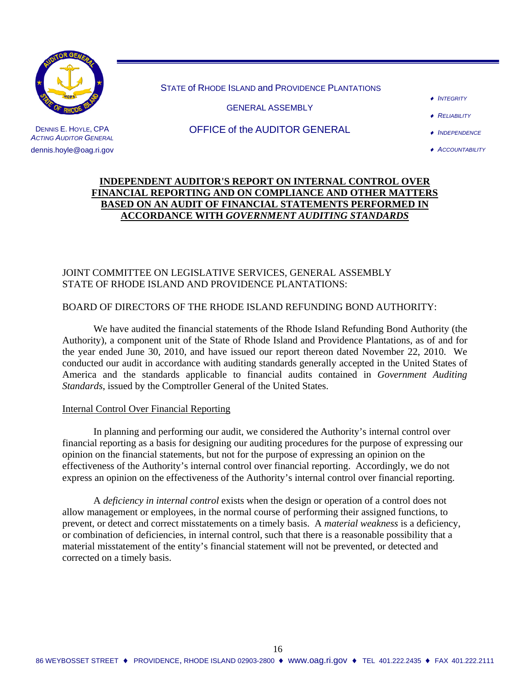

STATE of RHODE ISLAND and PROVIDENCE PLANTATIONS

GENERAL ASSEMBLY

♦ *INTEGRITY*

♦ *RELIABILITY*

OFFICE of the AUDITOR GENERAL

♦ *INDEPENDENCE*

♦ *ACCOUNTABILITY*

## **INDEPENDENT AUDITOR'S REPORT ON INTERNAL CONTROL OVER FINANCIAL REPORTING AND ON COMPLIANCE AND OTHER MATTERS BASED ON AN AUDIT OF FINANCIAL STATEMENTS PERFORMED IN ACCORDANCE WITH** *GOVERNMENT AUDITING STANDARDS*

## JOINT COMMITTEE ON LEGISLATIVE SERVICES, GENERAL ASSEMBLY STATE OF RHODE ISLAND AND PROVIDENCE PLANTATIONS:

## BOARD OF DIRECTORS OF THE RHODE ISLAND REFUNDING BOND AUTHORITY:

We have audited the financial statements of the Rhode Island Refunding Bond Authority (the Authority), a component unit of the State of Rhode Island and Providence Plantations, as of and for the year ended June 30, 2010, and have issued our report thereon dated November 22, 2010. We conducted our audit in accordance with auditing standards generally accepted in the United States of America and the standards applicable to financial audits contained in *Government Auditing Standards*, issued by the Comptroller General of the United States.

#### Internal Control Over Financial Reporting

 In planning and performing our audit, we considered the Authority's internal control over financial reporting as a basis for designing our auditing procedures for the purpose of expressing our opinion on the financial statements, but not for the purpose of expressing an opinion on the effectiveness of the Authority's internal control over financial reporting. Accordingly, we do not express an opinion on the effectiveness of the Authority's internal control over financial reporting.

A *deficiency in internal control* exists when the design or operation of a control does not allow management or employees, in the normal course of performing their assigned functions, to prevent, or detect and correct misstatements on a timely basis. A *material weakness* is a deficiency, or combination of deficiencies, in internal control, such that there is a reasonable possibility that a material misstatement of the entity's financial statement will not be prevented, or detected and corrected on a timely basis.

16

DENNIS E. HOYLE, CPA *ACTING AUDITOR GENERAL* dennis.hoyle@oag.ri.gov